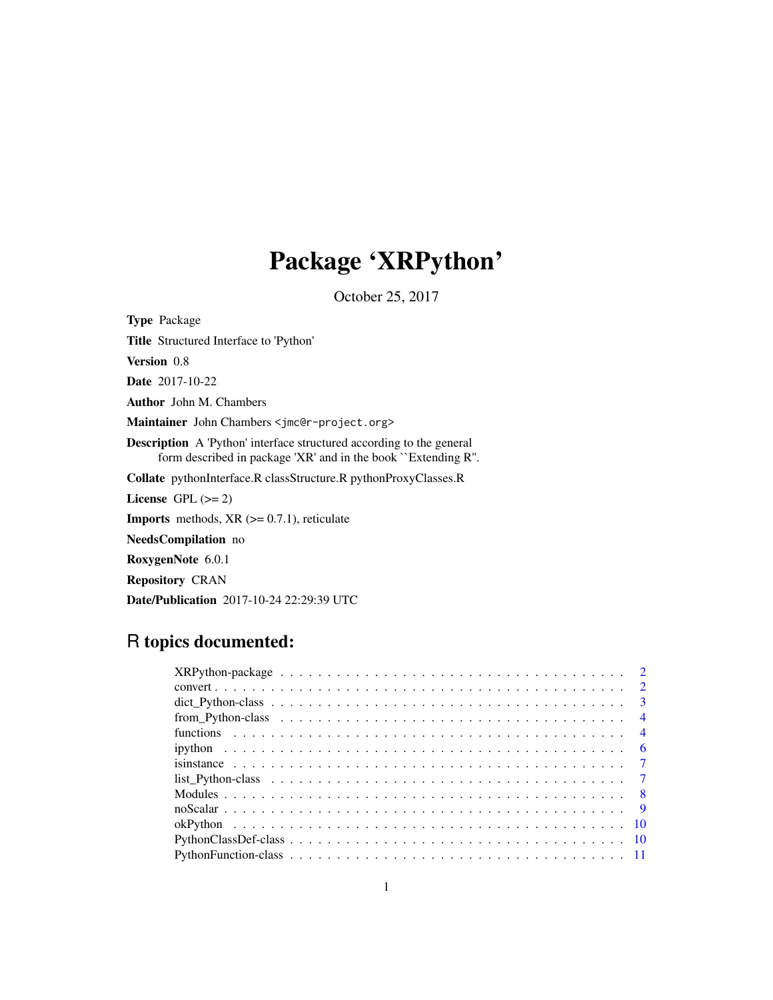# Package 'XRPython'

October 25, 2017

<span id="page-0-0"></span>Type Package Title Structured Interface to 'Python' Version 0.8 Date 2017-10-22 Author John M. Chambers Maintainer John Chambers <jmc@r-project.org> Description A 'Python' interface structured according to the general form described in package 'XR' and in the book ``Extending R''. Collate pythonInterface.R classStructure.R pythonProxyClasses.R License GPL  $(>= 2)$ **Imports** methods,  $XR$  ( $>= 0.7.1$ ), reticulate NeedsCompilation no RoxygenNote 6.0.1

Repository CRAN

Date/Publication 2017-10-24 22:29:39 UTC

# R topics documented:

| is instance $\ldots \ldots \ldots \ldots \ldots \ldots \ldots \ldots \ldots \ldots \ldots \ldots \ldots$ |  |  |  |  |  |  |  |  |  |  |  |  |  |  |  |  |  |
|----------------------------------------------------------------------------------------------------------|--|--|--|--|--|--|--|--|--|--|--|--|--|--|--|--|--|
|                                                                                                          |  |  |  |  |  |  |  |  |  |  |  |  |  |  |  |  |  |
|                                                                                                          |  |  |  |  |  |  |  |  |  |  |  |  |  |  |  |  |  |
|                                                                                                          |  |  |  |  |  |  |  |  |  |  |  |  |  |  |  |  |  |
|                                                                                                          |  |  |  |  |  |  |  |  |  |  |  |  |  |  |  |  |  |
|                                                                                                          |  |  |  |  |  |  |  |  |  |  |  |  |  |  |  |  |  |
|                                                                                                          |  |  |  |  |  |  |  |  |  |  |  |  |  |  |  |  |  |
|                                                                                                          |  |  |  |  |  |  |  |  |  |  |  |  |  |  |  |  |  |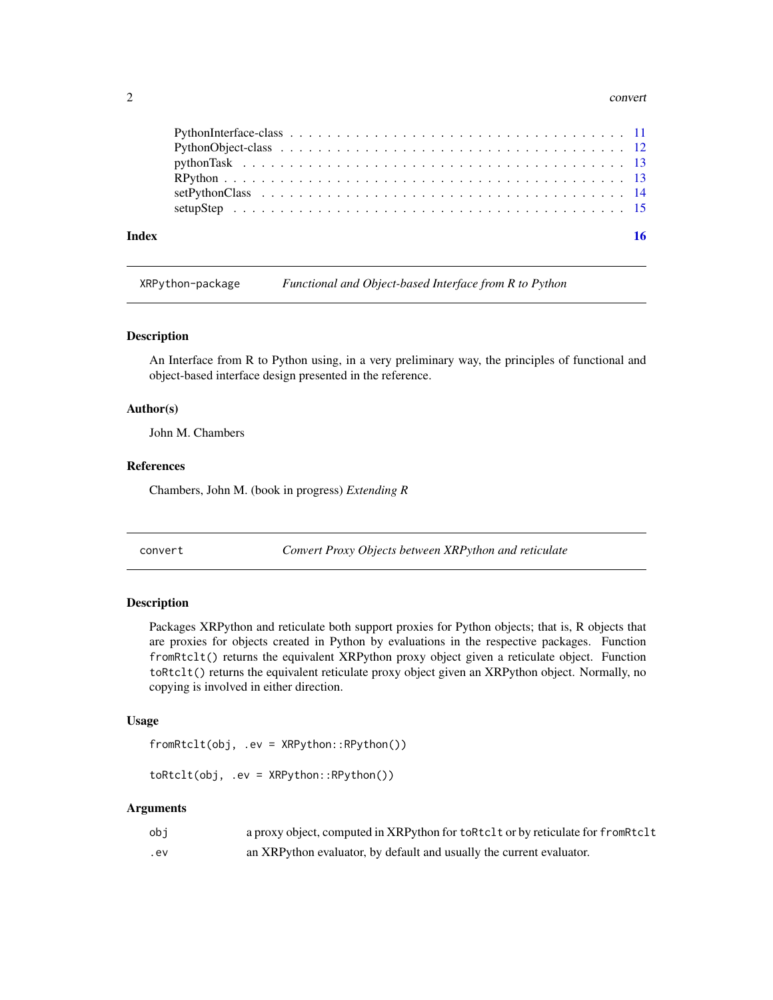#### <span id="page-1-0"></span>2 convert

XRPython-package *Functional and Object-based Interface from R to Python*

#### Description

An Interface from R to Python using, in a very preliminary way, the principles of functional and object-based interface design presented in the reference.

# Author(s)

John M. Chambers

# References

Chambers, John M. (book in progress) *Extending R*

convert *Convert Proxy Objects between XRPython and reticulate*

# Description

Packages XRPython and reticulate both support proxies for Python objects; that is, R objects that are proxies for objects created in Python by evaluations in the respective packages. Function fromRtclt() returns the equivalent XRPython proxy object given a reticulate object. Function toRtclt() returns the equivalent reticulate proxy object given an XRPython object. Normally, no copying is involved in either direction.

# Usage

fromRtclt(obj, .ev = XRPython::RPython())

toRtclt(obj, .ev = XRPython::RPython())

# Arguments

| obi | a proxy object, computed in XRPython for toRtclt or by reticulate for fromRtclt |
|-----|---------------------------------------------------------------------------------|
| .ev | an XRPython evaluator, by default and usually the current evaluator.            |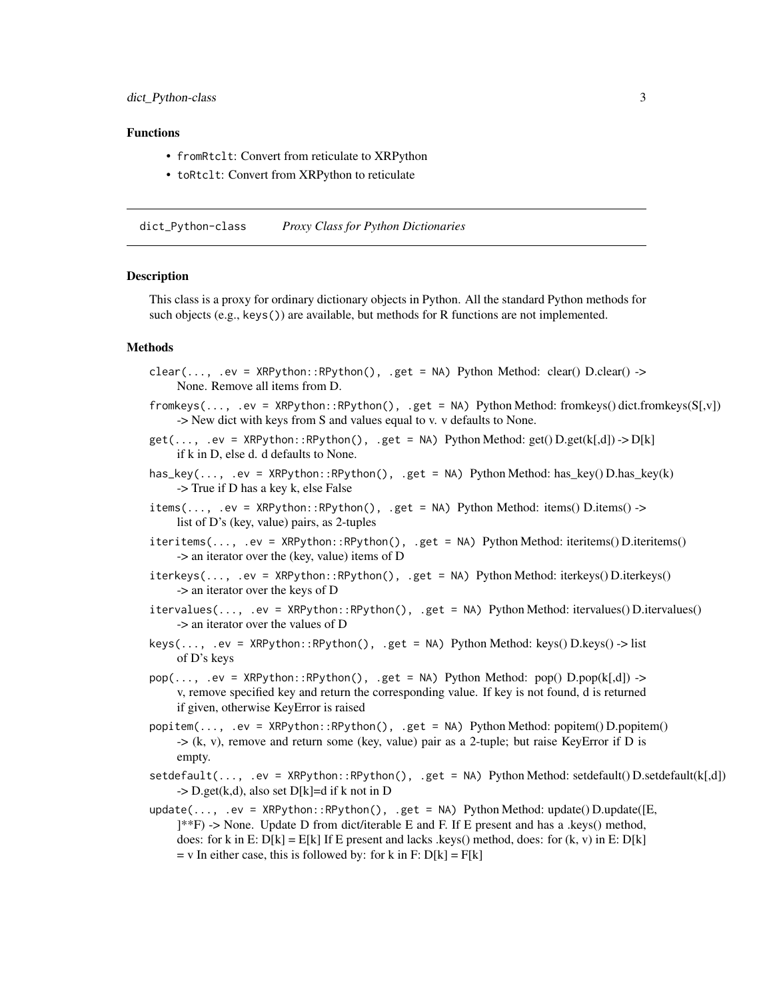#### <span id="page-2-0"></span>Functions

- fromRtclt: Convert from reticulate to XRPython
- toRtclt: Convert from XRPython to reticulate

dict\_Python-class *Proxy Class for Python Dictionaries*

# **Description**

This class is a proxy for ordinary dictionary objects in Python. All the standard Python methods for such objects (e.g., keys()) are available, but methods for R functions are not implemented.

#### Methods

- $clear(..., .ev = XRPython::RPython(), .get = NA) Python Method: clear() D.clear() ->$ None. Remove all items from D.
- $fromkeys(..., .ev = XRPython::RPython(), .get = NA) Python Method: fromkeys() dict.fromkeys(S[x])$ -> New dict with keys from S and values equal to v. v defaults to None.
- $get(..., .ev = XRPvthon::RPvthon(), .get = NA) Python Method: get(D.get(k[.d]) -> D[k])$ if k in D, else d. d defaults to None.
- has\_key(..., .ev = XRPython::RPython(), .get = NA) Python Method: has\_key() D.has\_key(k) -> True if D has a key k, else False
- $items(..., .ev = XRPython::RPython(), .get = NA) Python Method: items() D.items() ->$ list of D's (key, value) pairs, as 2-tuples
- iteritems(..., .ev = XRPython::RPython(), .get = NA) Python Method: iteritems() D.iteritems() -> an iterator over the (key, value) items of D
- iterkeys(..., .ev = XRPython::RPython(), .get = NA) Python Method: iterkeys() D.iterkeys() -> an iterator over the keys of D
- itervalues(..., .ev = XRPython::RPython(), .get = NA) Python Method: itervalues() D.itervalues() -> an iterator over the values of D
- $keys(..., .ev = XRPython::RPython(), .get = NA) Python Method: keys() D.keys() > list$ of D's keys
- $pop(..., .ev = XRPython::RPython(), .get = NA) Python Method: pop() D.pop(k[,d]) ->$ v, remove specified key and return the corresponding value. If key is not found, d is returned if given, otherwise KeyError is raised
- popitem(..., .ev = XRPython::RPython(), .get = NA) Python Method: popitem() D.popitem() -> (k, v), remove and return some (key, value) pair as a 2-tuple; but raise KeyError if D is empty.
- setdefault(..., .ev = XRPython::RPython(), .get = NA) Python Method: setdefault() D.setdefault(k[,d])  $-$ > D.get(k,d), also set D[k]=d if k not in D
- update(..., .ev = XRPython::RPython(), .get = NA) Python Method: update() D.update([E, ]\*\*F) -> None. Update D from dict/iterable E and F. If E present and has a .keys() method, does: for k in E:  $D[k] = E[k]$  If E present and lacks .keys() method, does: for (k, v) in E:  $D[k]$  $=$  v In either case, this is followed by: for k in F:  $D[k] = F[k]$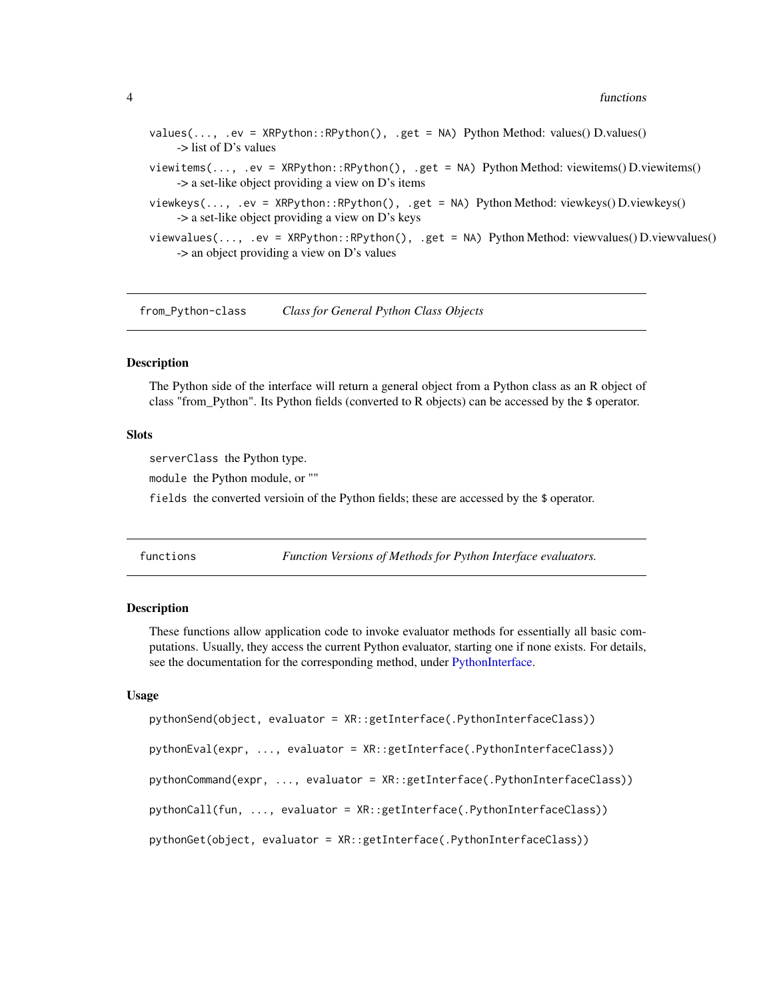#### <span id="page-3-0"></span>4 functions

| values(, .ev = XRPython::RPython(), .get = NA) Python Method: values() D.values()<br>$\rightarrow$ list of D's values                                                 |
|-----------------------------------------------------------------------------------------------------------------------------------------------------------------------|
| viewitems(, .ev = XRPython::RPython(), .get = NA) Python Method: viewitems() D.viewitems()<br>$\rightarrow$ a set-like object providing a view on D's items           |
| viewkeys $(, .ev = XRP$ ython::RPython $(), .get = NA$ ) Python Method: viewkeys $()$ D.viewkeys $()$<br>$\rightarrow$ a set-like object providing a view on D's keys |
| viewvalues(, .ev = XRPython::RPython(), .get = NA) Python Method: viewvalues() D.viewvalues()<br>$\rightarrow$ an object providing a view on D's values               |

from\_Python-class *Class for General Python Class Objects*

# Description

The Python side of the interface will return a general object from a Python class as an R object of class "from\_Python". Its Python fields (converted to R objects) can be accessed by the \$ operator.

# Slots

serverClass the Python type.

module the Python module, or ""

fields the converted versioin of the Python fields; these are accessed by the \$ operator.

functions *Function Versions of Methods for Python Interface evaluators.*

# Description

These functions allow application code to invoke evaluator methods for essentially all basic computations. Usually, they access the current Python evaluator, starting one if none exists. For details, see the documentation for the corresponding method, under [PythonInterface.](#page-10-1)

# Usage

```
pythonSend(object, evaluator = XR::getInterface(.PythonInterfaceClass))
pythonEval(expr, ..., evaluator = XR::getInterface(.PythonInterfaceClass))
pythonCommand(expr, ..., evaluator = XR::getInterface(.PythonInterfaceClass))
pythonCall(fun, ..., evaluator = XR::getInterface(.PythonInterfaceClass))
pythonGet(object, evaluator = XR::getInterface(.PythonInterfaceClass))
```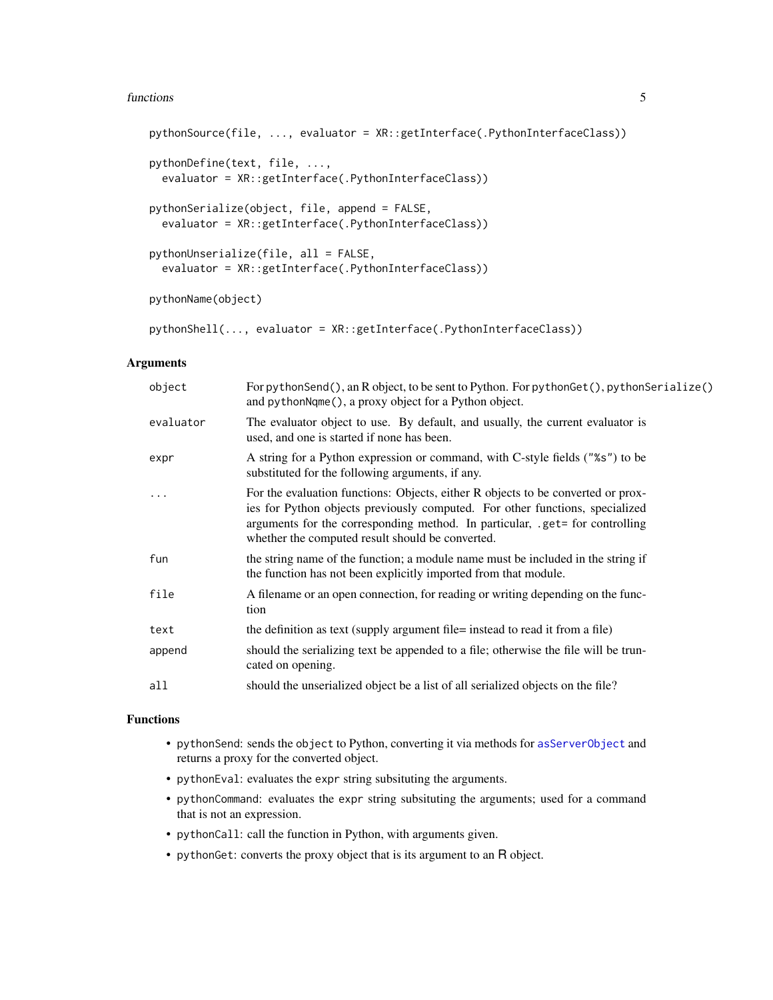#### <span id="page-4-0"></span>functions 5

```
pythonSource(file, ..., evaluator = XR::getInterface(.PythonInterfaceClass))
pythonDefine(text, file, ...,
 evaluator = XR::getInterface(.PythonInterfaceClass))
pythonSerialize(object, file, append = FALSE,
  evaluator = XR::getInterface(.PythonInterfaceClass))
pythonUnserialize(file, all = FALSE,
 evaluator = XR::getInterface(.PythonInterfaceClass))
pythonName(object)
pythonShell(..., evaluator = XR::getInterface(.PythonInterfaceClass))
```
# Arguments

| object    | For pythonSend(), an R object, to be sent to Python. For pythonGet(), pythonSerialize()<br>and pythonNqme(), a proxy object for a Python object.                                                                                                                                                     |
|-----------|------------------------------------------------------------------------------------------------------------------------------------------------------------------------------------------------------------------------------------------------------------------------------------------------------|
| evaluator | The evaluator object to use. By default, and usually, the current evaluator is<br>used, and one is started if none has been.                                                                                                                                                                         |
| expr      | A string for a Python expression or command, with C-style fields ("%s") to be<br>substituted for the following arguments, if any.                                                                                                                                                                    |
|           | For the evaluation functions: Objects, either R objects to be converted or prox-<br>ies for Python objects previously computed. For other functions, specialized<br>arguments for the corresponding method. In particular, .get= for controlling<br>whether the computed result should be converted. |
| fun       | the string name of the function; a module name must be included in the string if<br>the function has not been explicitly imported from that module.                                                                                                                                                  |
| file      | A filename or an open connection, for reading or writing depending on the func-<br>tion                                                                                                                                                                                                              |
| text      | the definition as text (supply argument file= instead to read it from a file)                                                                                                                                                                                                                        |
| append    | should the serializing text be appended to a file; otherwise the file will be trun-<br>cated on opening.                                                                                                                                                                                             |
| all       | should the unserialized object be a list of all serialized objects on the file?                                                                                                                                                                                                                      |
|           |                                                                                                                                                                                                                                                                                                      |

#### Functions

- pythonSend: sends the object to Python, converting it via methods for [asServerObject](#page-0-0) and returns a proxy for the converted object.
- pythonEval: evaluates the expr string subsituting the arguments.
- pythonCommand: evaluates the expr string subsituting the arguments; used for a command that is not an expression.
- pythonCall: call the function in Python, with arguments given.
- pythonGet: converts the proxy object that is its argument to an R object.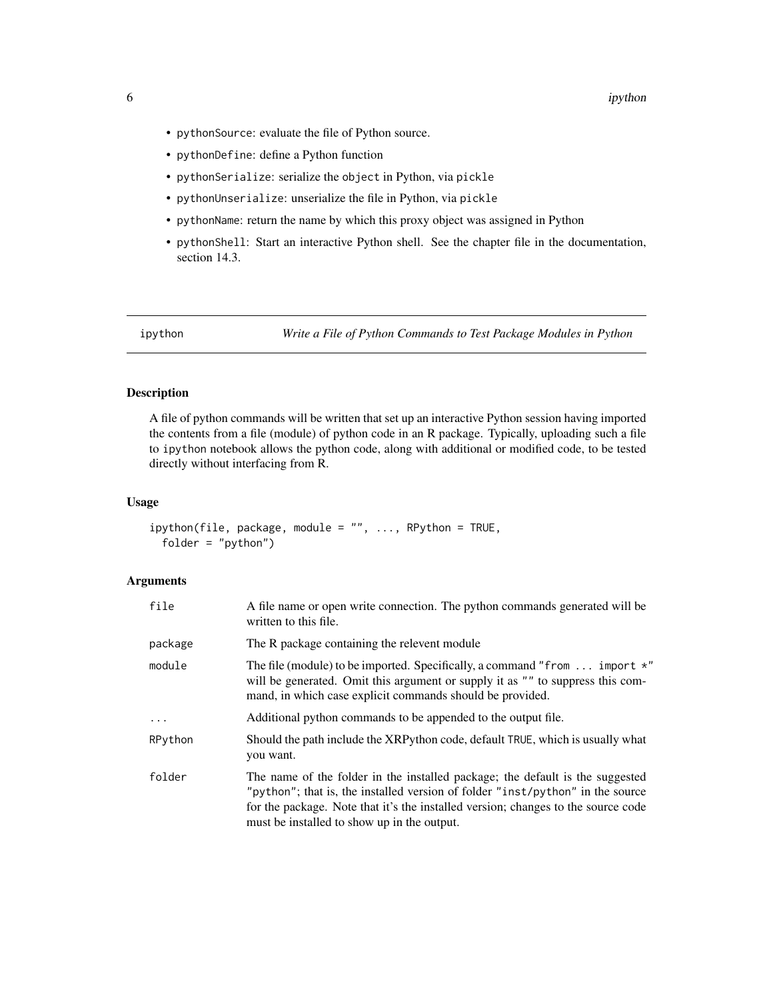- <span id="page-5-0"></span>• pythonSource: evaluate the file of Python source.
- pythonDefine: define a Python function
- pythonSerialize: serialize the object in Python, via pickle
- pythonUnserialize: unserialize the file in Python, via pickle
- pythonName: return the name by which this proxy object was assigned in Python
- pythonShell: Start an interactive Python shell. See the chapter file in the documentation, section 14.3.

ipython *Write a File of Python Commands to Test Package Modules in Python*

# Description

A file of python commands will be written that set up an interactive Python session having imported the contents from a file (module) of python code in an R package. Typically, uploading such a file to ipython notebook allows the python code, along with additional or modified code, to be tested directly without interfacing from R.

#### Usage

```
ipython(file, package, module = "", ..., RPython = TRUE,folder = "python")
```
#### Arguments

| file     | A file name or open write connection. The python commands generated will be<br>written to this file.                                                                                                                                                                                                |
|----------|-----------------------------------------------------------------------------------------------------------------------------------------------------------------------------------------------------------------------------------------------------------------------------------------------------|
| package  | The R package containing the relevent module                                                                                                                                                                                                                                                        |
| module   | The file (module) to be imported. Specifically, a command "from $\dots$ import $*$ "<br>will be generated. Omit this argument or supply it as "" to suppress this com-<br>mand, in which case explicit commands should be provided.                                                                 |
| $\ddots$ | Additional python commands to be appended to the output file.                                                                                                                                                                                                                                       |
| RPython  | Should the path include the XRPython code, default TRUE, which is usually what<br>you want.                                                                                                                                                                                                         |
| folder   | The name of the folder in the installed package; the default is the suggested<br>"python"; that is, the installed version of folder "inst/python" in the source<br>for the package. Note that it's the installed version; changes to the source code<br>must be installed to show up in the output. |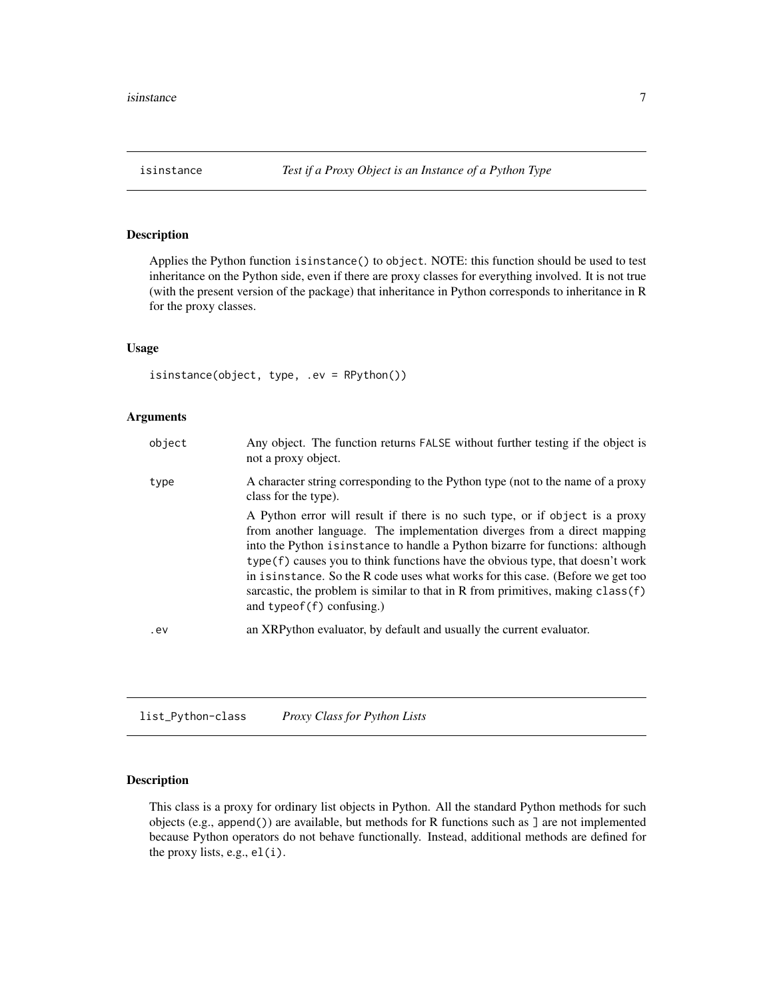<span id="page-6-0"></span>Applies the Python function isinstance() to object. NOTE: this function should be used to test inheritance on the Python side, even if there are proxy classes for everything involved. It is not true (with the present version of the package) that inheritance in Python corresponds to inheritance in R for the proxy classes.

# Usage

isinstance(object, type, .ev = RPython())

# Arguments

| object | Any object. The function returns FALSE without further testing if the object is<br>not a proxy object.                                                                                                                                                                                                                                                                                                                                                                                                                                      |
|--------|---------------------------------------------------------------------------------------------------------------------------------------------------------------------------------------------------------------------------------------------------------------------------------------------------------------------------------------------------------------------------------------------------------------------------------------------------------------------------------------------------------------------------------------------|
| type   | A character string corresponding to the Python type (not to the name of a proxy<br>class for the type).                                                                                                                                                                                                                                                                                                                                                                                                                                     |
|        | A Python error will result if there is no such type, or if object is a proxy<br>from another language. The implementation diverges from a direct mapping<br>into the Python is instance to handle a Python bizarre for functions: although<br>type (f) causes you to think functions have the obvious type, that doesn't work<br>in is instance. So the R code uses what works for this case. (Before we get too<br>sarcastic, the problem is similar to that in R from primitives, making $\text{class}(f)$<br>and $typeof(f)$ confusing.) |
| .ev    | an XRP thon evaluator, by default and usually the current evaluator.                                                                                                                                                                                                                                                                                                                                                                                                                                                                        |
|        |                                                                                                                                                                                                                                                                                                                                                                                                                                                                                                                                             |

list\_Python-class *Proxy Class for Python Lists*

# Description

This class is a proxy for ordinary list objects in Python. All the standard Python methods for such objects (e.g., append()) are available, but methods for R functions such as ] are not implemented because Python operators do not behave functionally. Instead, additional methods are defined for the proxy lists, e.g., el(i).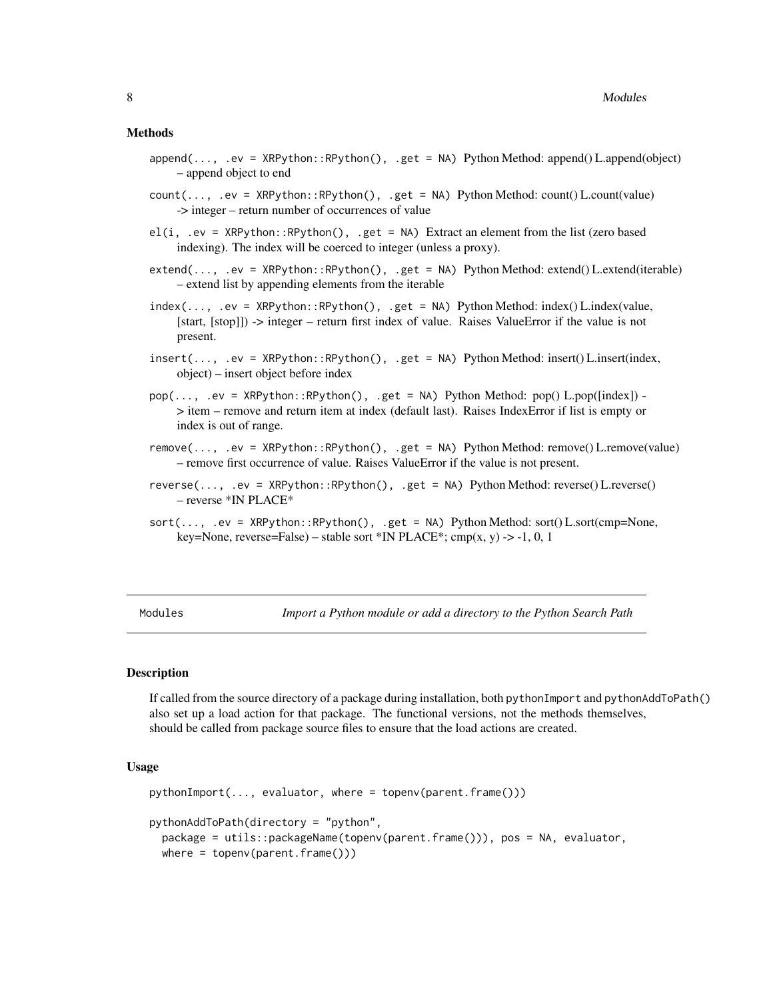#### <span id="page-7-0"></span>Methods

- append(..., .ev = XRPython::RPython(), .get = NA) Python Method: append() L.append(object) – append object to end
- $count(\ldots, .ev = XRPython::RPython(), .get = NA) Python Method: count() L.count(value)$ -> integer – return number of occurrences of value
- el(i, .ev = XRPython::RPython(), .get = NA) Extract an element from the list (zero based indexing). The index will be coerced to integer (unless a proxy).
- extend(..., .ev = XRPython::RPython(), .get = NA) Python Method: extend() L.extend(iterable) – extend list by appending elements from the iterable
- $index(..., .ev = XRPython::RPython(), .get = NA) Python Method: index() L.index(value,$ [start, [stop]]) -> integer – return first index of value. Raises ValueError if the value is not present.
- insert(..., .ev = XRPython::RPython(), .get = NA) Python Method: insert() L.insert(index, object) – insert object before index
- $pop(..., .ev = XRPython::RPython(), .get = NA) Python Method: pop() L.pop([index]) -$ > item – remove and return item at index (default last). Raises IndexError if list is empty or index is out of range.
- remove(..., .ev = XRPython::RPython(), .get = NA) Python Method: remove() L.remove(value) – remove first occurrence of value. Raises ValueError if the value is not present.
- reverse(..., .ev = XRPython::RPython(), .get = NA) Python Method: reverse() L.reverse() – reverse \*IN PLACE\*
- $sort(..., .ev = XRPython::RPython()$ , .get = NA) Python Method: sort() L.sort(cmp=None, key=None, reverse=False) – stable sort \*IN PLACE\*; cmp $(x, y)$  -> -1, 0, 1

Modules *Import a Python module or add a directory to the Python Search Path*

# Description

If called from the source directory of a package during installation, both pythonImport and pythonAddToPath() also set up a load action for that package. The functional versions, not the methods themselves, should be called from package source files to ensure that the load actions are created.

#### Usage

```
pythonImport(..., evaluator, where = topenv(parent.frame()))
pythonAddToPath(directory = "python",
 package = utils::packageName(topenv(parent.frame())), pos = NA, evaluator,
 where = topenv(parent.frame())
```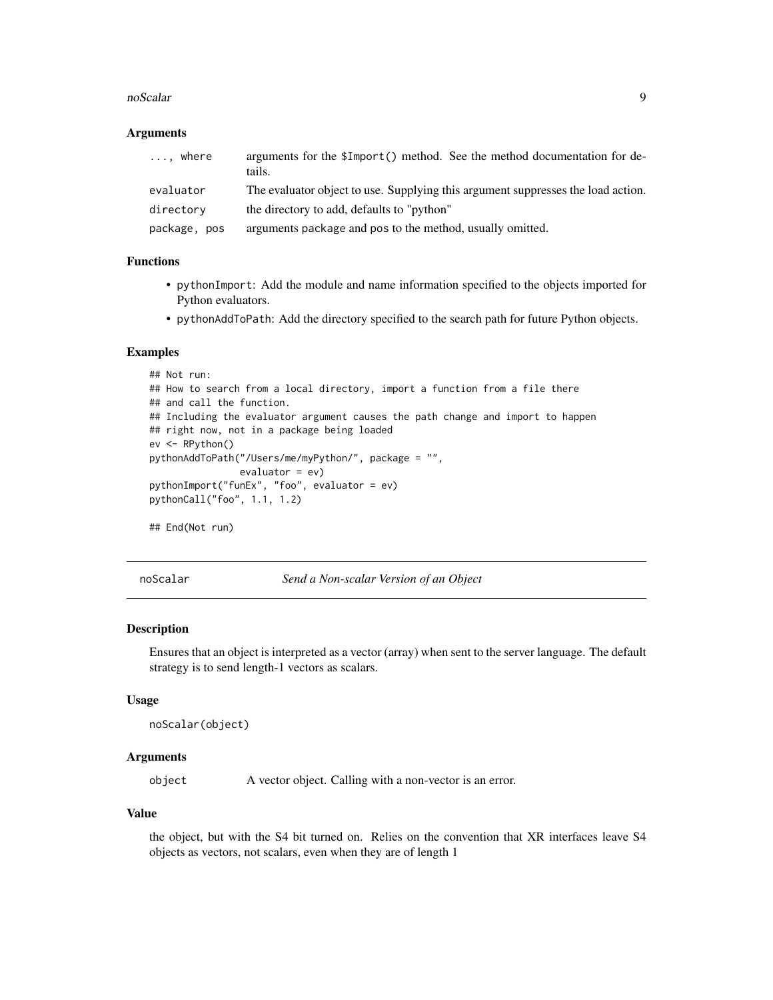#### <span id="page-8-0"></span>noScalar 9

# Arguments

| where<br>$\cdots$ | arguments for the \$Import() method. See the method documentation for de-<br>tails. |
|-------------------|-------------------------------------------------------------------------------------|
| evaluator         | The evaluator object to use. Supplying this argument suppresses the load action.    |
| directory         | the directory to add, defaults to "python"                                          |
| package, pos      | arguments package and pos to the method, usually omitted.                           |

# Functions

- pythonImport: Add the module and name information specified to the objects imported for Python evaluators.
- pythonAddToPath: Add the directory specified to the search path for future Python objects.

# Examples

```
## Not run:
## How to search from a local directory, import a function from a file there
## and call the function.
## Including the evaluator argument causes the path change and import to happen
## right now, not in a package being loaded
ev <- RPython()
pythonAddToPath("/Users/me/myPython/", package = "",
                evaluator = ev)
pythonImport("funEx", "foo", evaluator = ev)
pythonCall("foo", 1.1, 1.2)
## End(Not run)
```
noScalar *Send a Non-scalar Version of an Object*

#### Description

Ensures that an object is interpreted as a vector (array) when sent to the server language. The default strategy is to send length-1 vectors as scalars.

# Usage

```
noScalar(object)
```
# Arguments

object A vector object. Calling with a non-vector is an error.

# Value

the object, but with the S4 bit turned on. Relies on the convention that XR interfaces leave S4 objects as vectors, not scalars, even when they are of length 1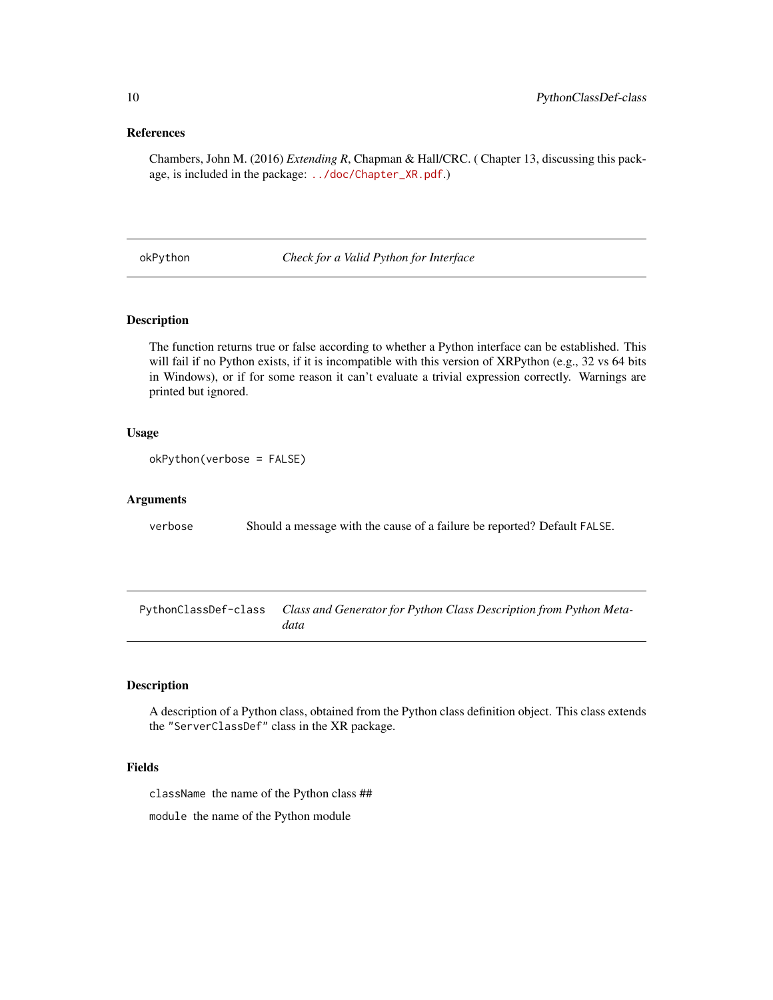# References

Chambers, John M. (2016) *Extending R*, Chapman & Hall/CRC. ( Chapter 13, discussing this package, is included in the package: [../doc/Chapter\\_XR.pdf](../doc/Chapter_XR.pdf).)

okPython *Check for a Valid Python for Interface*

# Description

The function returns true or false according to whether a Python interface can be established. This will fail if no Python exists, if it is incompatible with this version of XRPython (e.g., 32 vs 64 bits in Windows), or if for some reason it can't evaluate a trivial expression correctly. Warnings are printed but ignored.

# Usage

```
okPython(verbose = FALSE)
```
# Arguments

verbose Should a message with the cause of a failure be reported? Default FALSE.

PythonClassDef-class *Class and Generator for Python Class Description from Python Metadata*

# Description

A description of a Python class, obtained from the Python class definition object. This class extends the "ServerClassDef" class in the XR package.

# Fields

className the name of the Python class ##

module the name of the Python module

<span id="page-9-0"></span>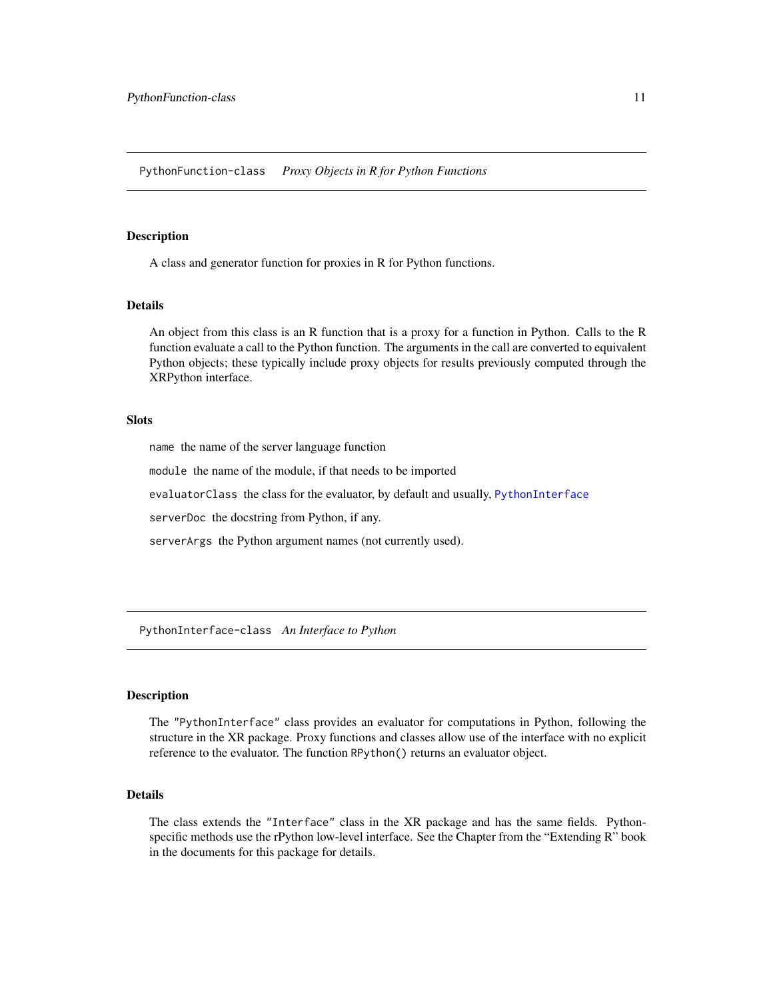<span id="page-10-0"></span>A class and generator function for proxies in R for Python functions.

# Details

An object from this class is an R function that is a proxy for a function in Python. Calls to the R function evaluate a call to the Python function. The arguments in the call are converted to equivalent Python objects; these typically include proxy objects for results previously computed through the XRPython interface.

#### **Slots**

name the name of the server language function

module the name of the module, if that needs to be imported

evaluatorClass the class for the evaluator, by default and usually, [PythonInterface](#page-10-1)

serverDoc the docstring from Python, if any.

serverArgs the Python argument names (not currently used).

PythonInterface-class *An Interface to Python*

### <span id="page-10-1"></span>**Description**

The "PythonInterface" class provides an evaluator for computations in Python, following the structure in the XR package. Proxy functions and classes allow use of the interface with no explicit reference to the evaluator. The function RPython() returns an evaluator object.

# Details

The class extends the "Interface" class in the XR package and has the same fields. Pythonspecific methods use the rPython low-level interface. See the Chapter from the "Extending R" book in the documents for this package for details.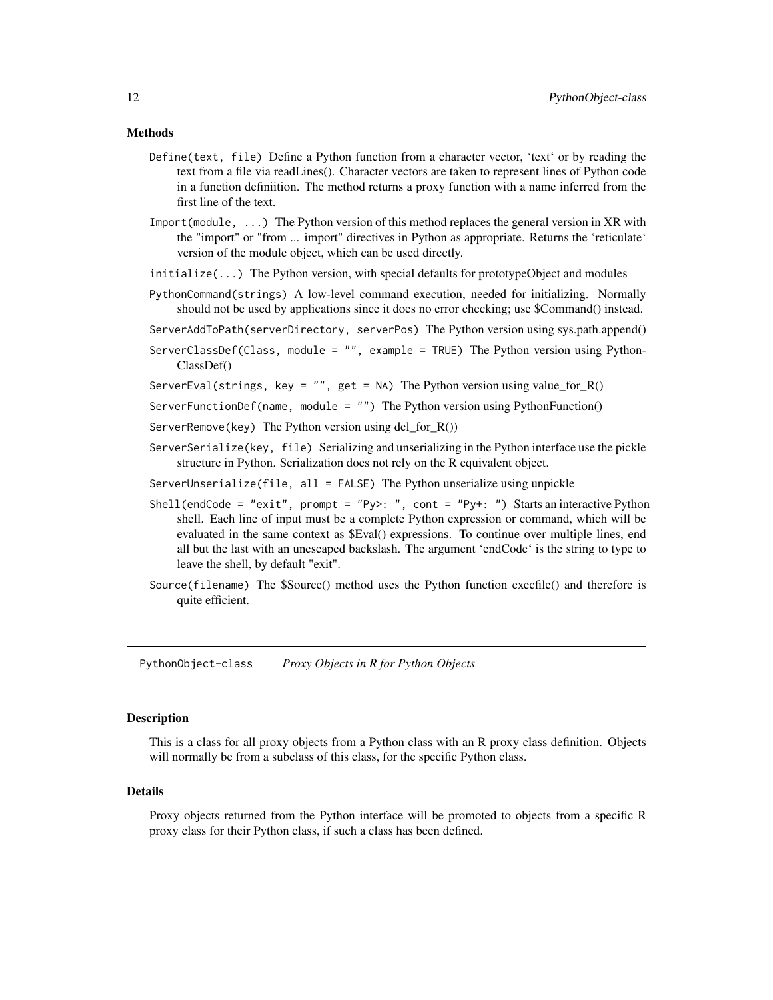# <span id="page-11-0"></span>Methods

- Define(text, file) Define a Python function from a character vector, 'text' or by reading the text from a file via readLines(). Character vectors are taken to represent lines of Python code in a function definiition. The method returns a proxy function with a name inferred from the first line of the text.
- Import(module, ...) The Python version of this method replaces the general version in XR with the "import" or "from ... import" directives in Python as appropriate. Returns the 'reticulate' version of the module object, which can be used directly.
- initialize(...) The Python version, with special defaults for prototypeObject and modules
- PythonCommand(strings) A low-level command execution, needed for initializing. Normally should not be used by applications since it does no error checking; use \$Command() instead.
- ServerAddToPath(serverDirectory, serverPos) The Python version using sys.path.append()
- ServerClassDef(Class, module = "", example = TRUE) The Python version using Python-ClassDef()
- ServerEval(strings, key = "", get = NA) The Python version using value\_for\_R()
- ServerFunctionDef(name, module = "") The Python version using PythonFunction()
- ServerRemove(key) The Python version using del for  $R()$ )
- ServerSerialize(key, file) Serializing and unserializing in the Python interface use the pickle structure in Python. Serialization does not rely on the R equivalent object.
- ServerUnserialize(file, all = FALSE) The Python unserialize using unpickle
- Shell(endCode = "exit", prompt = "Py>: ", cont = "Py+: ") Starts an interactive Python shell. Each line of input must be a complete Python expression or command, which will be evaluated in the same context as \$Eval() expressions. To continue over multiple lines, end all but the last with an unescaped backslash. The argument 'endCode' is the string to type to leave the shell, by default "exit".
- Source(filename) The \$Source() method uses the Python function execfile() and therefore is quite efficient.

PythonObject-class *Proxy Objects in R for Python Objects*

#### Description

This is a class for all proxy objects from a Python class with an R proxy class definition. Objects will normally be from a subclass of this class, for the specific Python class.

#### Details

Proxy objects returned from the Python interface will be promoted to objects from a specific R proxy class for their Python class, if such a class has been defined.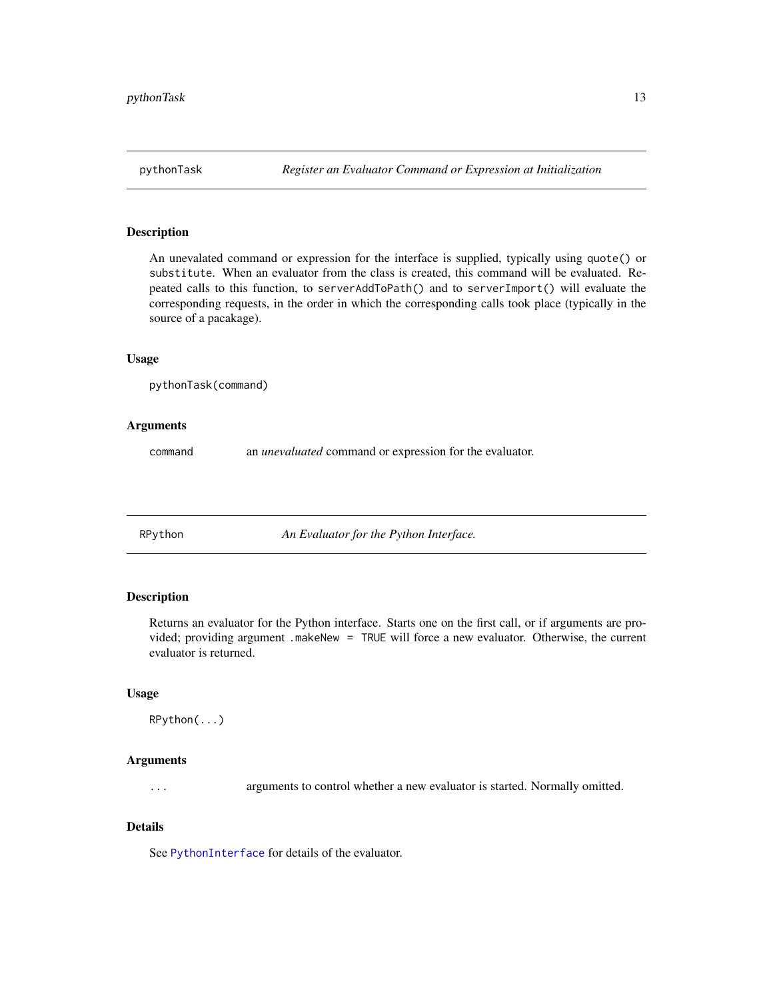<span id="page-12-0"></span>An unevalated command or expression for the interface is supplied, typically using quote() or substitute. When an evaluator from the class is created, this command will be evaluated. Repeated calls to this function, to serverAddToPath() and to serverImport() will evaluate the corresponding requests, in the order in which the corresponding calls took place (typically in the source of a pacakage).

# Usage

```
pythonTask(command)
```
# Arguments

command an *unevaluated* command or expression for the evaluator.

RPython *An Evaluator for the Python Interface.*

# Description

Returns an evaluator for the Python interface. Starts one on the first call, or if arguments are provided; providing argument .makeNew = TRUE will force a new evaluator. Otherwise, the current evaluator is returned.

# Usage

```
RPython(...)
```
# Arguments

... arguments to control whether a new evaluator is started. Normally omitted.

# Details

See [PythonInterface](#page-10-1) for details of the evaluator.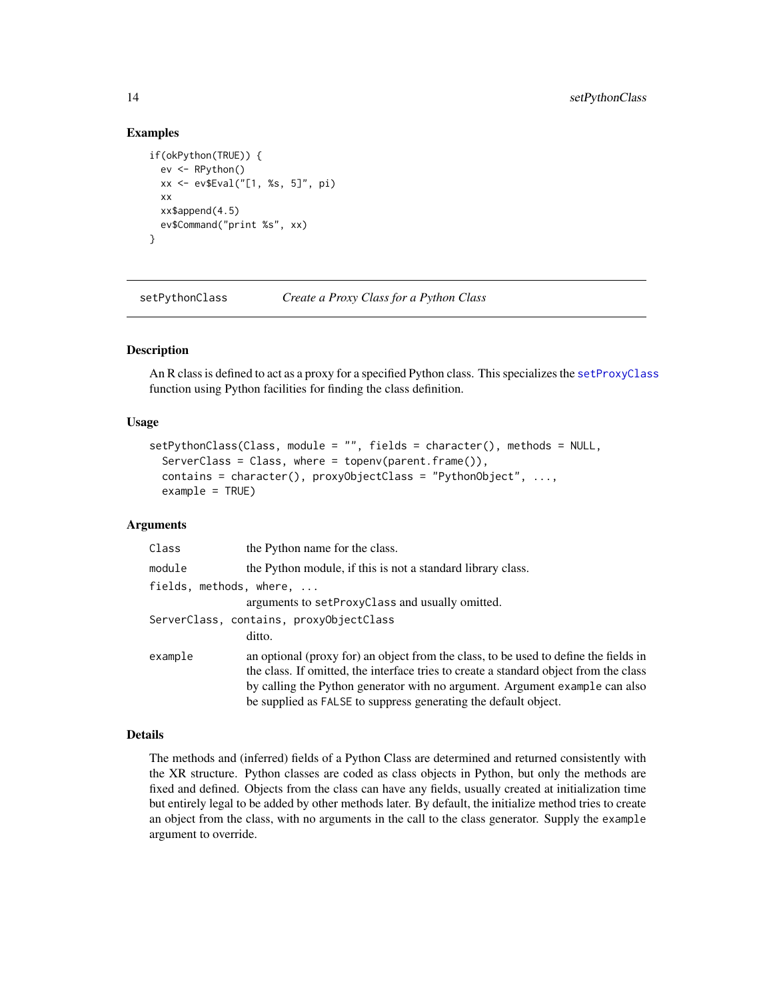# Examples

```
if(okPython(TRUE)) {
 ev <- RPython()
 xx <- ev$Eval("[1, %s, 5]", pi)
 xx
 xx$append(4.5)
 ev$Command("print %s", xx)
}
```
setPythonClass *Create a Proxy Class for a Python Class*

# Description

An R class is defined to act as a proxy for a specified Python class. This specializes the [setProxyClass](#page-0-0) function using Python facilities for finding the class definition.

# Usage

```
setPythonClass(Class, module = "", fields = character(), methods = NULL,
  ServerClass = Class, where = topenv(parent.frame()),
  contains = character(), proxyObjectClass = "PythonObject", ...,
  example = TRUE)
```
# **Arguments**

| Class                           | the Python name for the class.                                                        |
|---------------------------------|---------------------------------------------------------------------------------------|
| module                          | the Python module, if this is not a standard library class.                           |
| fields, methods, where, $\dots$ |                                                                                       |
|                                 | arguments to setProxyClass and usually omitted.                                       |
|                                 | ServerClass, contains, proxyObjectClass                                               |
|                                 | ditto.                                                                                |
| example                         | an optional (proxy for) an object from the class, to be used to define the fields in  |
|                                 | the class. If omitted, the interface tries to create a standard object from the class |
|                                 | by calling the Python generator with no argument. Argument example can also           |
|                                 | be supplied as FALSE to suppress generating the default object.                       |

#### Details

The methods and (inferred) fields of a Python Class are determined and returned consistently with the XR structure. Python classes are coded as class objects in Python, but only the methods are fixed and defined. Objects from the class can have any fields, usually created at initialization time but entirely legal to be added by other methods later. By default, the initialize method tries to create an object from the class, with no arguments in the call to the class generator. Supply the example argument to override.

<span id="page-13-0"></span>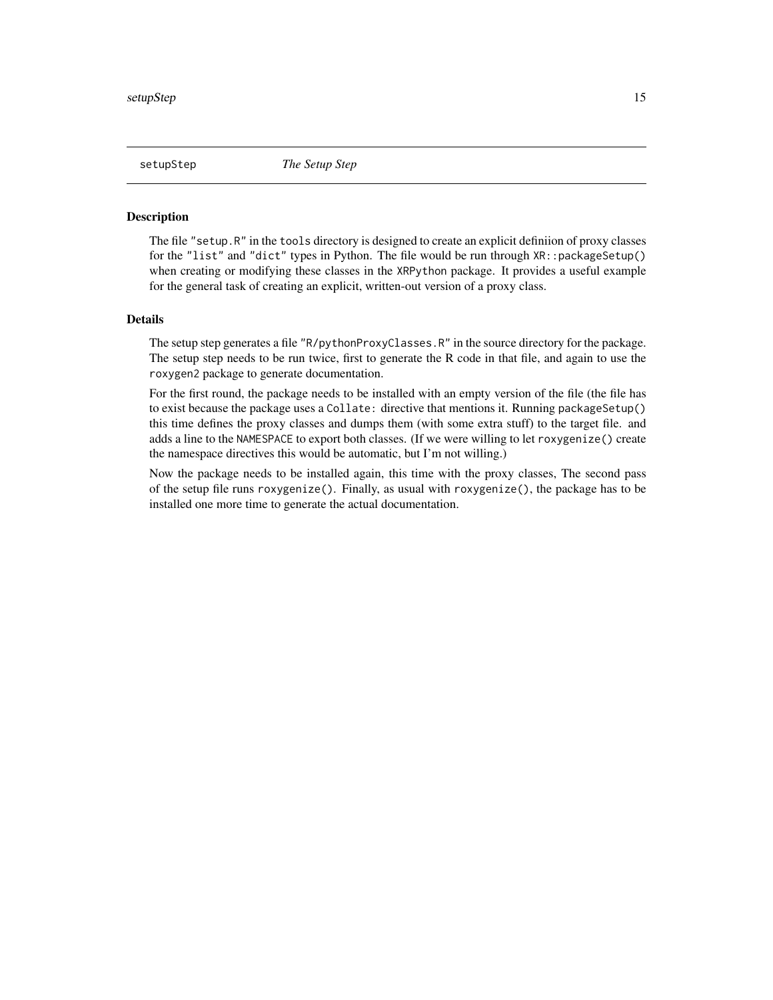<span id="page-14-0"></span>The file "setup.R" in the tools directory is designed to create an explicit definiion of proxy classes for the "list" and "dict" types in Python. The file would be run through XR::packageSetup() when creating or modifying these classes in the XRPython package. It provides a useful example for the general task of creating an explicit, written-out version of a proxy class.

#### Details

The setup step generates a file "R/pythonProxyClasses.R" in the source directory for the package. The setup step needs to be run twice, first to generate the R code in that file, and again to use the roxygen2 package to generate documentation.

For the first round, the package needs to be installed with an empty version of the file (the file has to exist because the package uses a Collate: directive that mentions it. Running packageSetup() this time defines the proxy classes and dumps them (with some extra stuff) to the target file. and adds a line to the NAMESPACE to export both classes. (If we were willing to let roxygenize() create the namespace directives this would be automatic, but I'm not willing.)

Now the package needs to be installed again, this time with the proxy classes, The second pass of the setup file runs roxygenize(). Finally, as usual with roxygenize(), the package has to be installed one more time to generate the actual documentation.